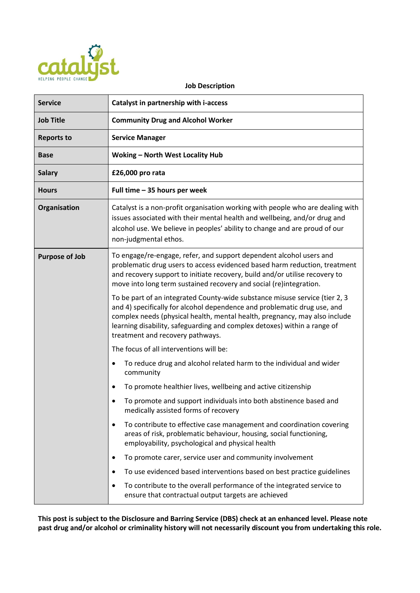

#### **Job Description**

| <b>Service</b>        | Catalyst in partnership with i-access                                                                                                                                                                                                                                                                                                                 |  |
|-----------------------|-------------------------------------------------------------------------------------------------------------------------------------------------------------------------------------------------------------------------------------------------------------------------------------------------------------------------------------------------------|--|
| <b>Job Title</b>      | <b>Community Drug and Alcohol Worker</b>                                                                                                                                                                                                                                                                                                              |  |
| <b>Reports to</b>     | <b>Service Manager</b>                                                                                                                                                                                                                                                                                                                                |  |
| <b>Base</b>           | <b>Woking - North West Locality Hub</b>                                                                                                                                                                                                                                                                                                               |  |
| <b>Salary</b>         | £26,000 pro rata                                                                                                                                                                                                                                                                                                                                      |  |
| <b>Hours</b>          | Full time - 35 hours per week                                                                                                                                                                                                                                                                                                                         |  |
| Organisation          | Catalyst is a non-profit organisation working with people who are dealing with<br>issues associated with their mental health and wellbeing, and/or drug and<br>alcohol use. We believe in peoples' ability to change and are proud of our<br>non-judgmental ethos.                                                                                    |  |
| <b>Purpose of Job</b> | To engage/re-engage, refer, and support dependent alcohol users and<br>problematic drug users to access evidenced based harm reduction, treatment<br>and recovery support to initiate recovery, build and/or utilise recovery to<br>move into long term sustained recovery and social (re)integration.                                                |  |
|                       | To be part of an integrated County-wide substance misuse service (tier 2, 3<br>and 4) specifically for alcohol dependence and problematic drug use, and<br>complex needs (physical health, mental health, pregnancy, may also include<br>learning disability, safeguarding and complex detoxes) within a range of<br>treatment and recovery pathways. |  |
|                       | The focus of all interventions will be:                                                                                                                                                                                                                                                                                                               |  |
|                       | To reduce drug and alcohol related harm to the individual and wider<br>٠<br>community                                                                                                                                                                                                                                                                 |  |
|                       | To promote healthier lives, wellbeing and active citizenship<br>$\bullet$                                                                                                                                                                                                                                                                             |  |
|                       | To promote and support individuals into both abstinence based and<br>medically assisted forms of recovery                                                                                                                                                                                                                                             |  |
|                       | To contribute to effective case management and coordination covering<br>$\bullet$<br>areas of risk, problematic behaviour, housing, social functioning,<br>employability, psychological and physical health                                                                                                                                           |  |
|                       | To promote carer, service user and community involvement<br>٠                                                                                                                                                                                                                                                                                         |  |
|                       | To use evidenced based interventions based on best practice guidelines                                                                                                                                                                                                                                                                                |  |
|                       | To contribute to the overall performance of the integrated service to<br>٠<br>ensure that contractual output targets are achieved                                                                                                                                                                                                                     |  |

**This post is subject to the Disclosure and Barring Service (DBS) check at an enhanced level. Please note past drug and/or alcohol or criminality history will not necessarily discount you from undertaking this role.**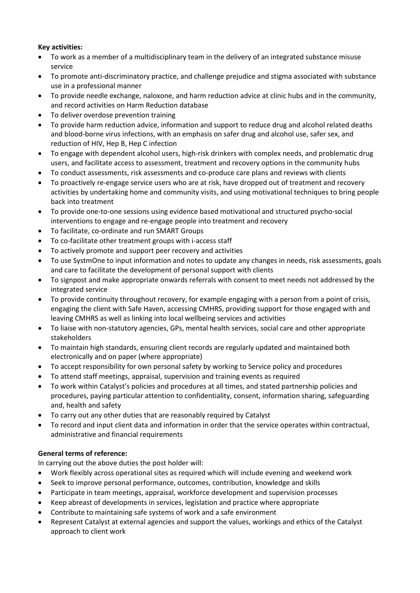### **Key activities:**

- To work as a member of a multidisciplinary team in the delivery of an integrated substance misuse service
- To promote anti-discriminatory practice, and challenge prejudice and stigma associated with substance use in a professional manner
- To provide needle exchange, naloxone, and harm reduction advice at clinic hubs and in the community, and record activities on Harm Reduction database
- To deliver overdose prevention training
- To provide harm reduction advice, information and support to reduce drug and alcohol related deaths and blood-borne virus infections, with an emphasis on safer drug and alcohol use, safer sex, and reduction of HIV, Hep B, Hep C infection
- To engage with dependent alcohol users, high-risk drinkers with complex needs, and problematic drug users, and facilitate access to assessment, treatment and recovery options in the community hubs
- To conduct assessments, risk assessments and co-produce care plans and reviews with clients
- To proactively re-engage service users who are at risk, have dropped out of treatment and recovery activities by undertaking home and community visits, and using motivational techniques to bring people back into treatment
- To provide one-to-one sessions using evidence based motivational and structured psycho-social interventions to engage and re-engage people into treatment and recovery
- To facilitate, co-ordinate and run SMART Groups
- To co-facilitate other treatment groups with i-access staff
- To actively promote and support peer recovery and activities
- To use SystmOne to input information and notes to update any changes in needs, risk assessments, goals and care to facilitate the development of personal support with clients
- To signpost and make appropriate onwards referrals with consent to meet needs not addressed by the integrated service
- To provide continuity throughout recovery, for example engaging with a person from a point of crisis, engaging the client with Safe Haven, accessing CMHRS, providing support for those engaged with and leaving CMHRS as well as linking into local wellbeing services and activities
- To liaise with non-statutory agencies, GPs, mental health services, social care and other appropriate stakeholders
- To maintain high standards, ensuring client records are regularly updated and maintained both electronically and on paper (where appropriate)
- To accept responsibility for own personal safety by working to Service policy and procedures
- To attend staff meetings, appraisal, supervision and training events as required
- To work within Catalyst's policies and procedures at all times, and stated partnership policies and procedures, paying particular attention to confidentiality, consent, information sharing, safeguarding and, health and safety
- To carry out any other duties that are reasonably required by Catalyst
- To record and input client data and information in order that the service operates within contractual, administrative and financial requirements

# **General terms of reference:**

In carrying out the above duties the post holder will:

- Work flexibly across operational sites as required which will include evening and weekend work
- Seek to improve personal performance, outcomes, contribution, knowledge and skills
- Participate in team meetings, appraisal, workforce development and supervision processes
- Keep abreast of developments in services, legislation and practice where appropriate
- Contribute to maintaining safe systems of work and a safe environment
- Represent Catalyst at external agencies and support the values, workings and ethics of the Catalyst approach to client work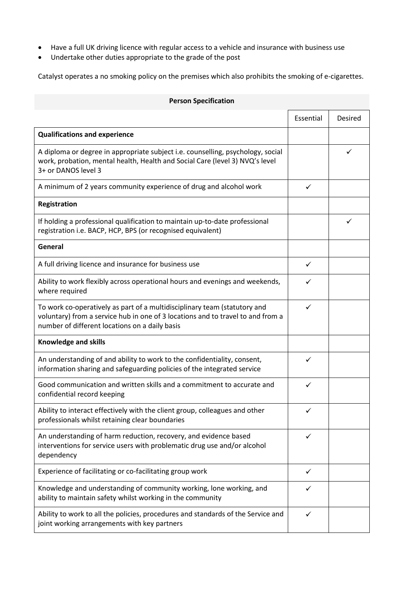- Have a full UK driving licence with regular access to a vehicle and insurance with business use
- Undertake other duties appropriate to the grade of the post

Catalyst operates a no smoking policy on the premises which also prohibits the smoking of e-cigarettes.

| <b>Person Specification</b>                                                                                                                                                                                    |              |         |
|----------------------------------------------------------------------------------------------------------------------------------------------------------------------------------------------------------------|--------------|---------|
|                                                                                                                                                                                                                | Essential    | Desired |
| <b>Qualifications and experience</b>                                                                                                                                                                           |              |         |
| A diploma or degree in appropriate subject i.e. counselling, psychology, social<br>work, probation, mental health, Health and Social Care (level 3) NVQ's level<br>3+ or DANOS level 3                         |              | ✓       |
| A minimum of 2 years community experience of drug and alcohol work                                                                                                                                             | ✓            |         |
| Registration                                                                                                                                                                                                   |              |         |
| If holding a professional qualification to maintain up-to-date professional<br>registration i.e. BACP, HCP, BPS (or recognised equivalent)                                                                     |              | ✓       |
| General                                                                                                                                                                                                        |              |         |
| A full driving licence and insurance for business use                                                                                                                                                          | $\checkmark$ |         |
| Ability to work flexibly across operational hours and evenings and weekends,<br>where required                                                                                                                 | ✓            |         |
| To work co-operatively as part of a multidisciplinary team (statutory and<br>voluntary) from a service hub in one of 3 locations and to travel to and from a<br>number of different locations on a daily basis |              |         |
| <b>Knowledge and skills</b>                                                                                                                                                                                    |              |         |
| An understanding of and ability to work to the confidentiality, consent,<br>information sharing and safeguarding policies of the integrated service                                                            |              |         |
| Good communication and written skills and a commitment to accurate and<br>confidential record keeping                                                                                                          |              |         |
| Ability to interact effectively with the client group, colleagues and other<br>professionals whilst retaining clear boundaries                                                                                 |              |         |
| An understanding of harm reduction, recovery, and evidence based<br>interventions for service users with problematic drug use and/or alcohol<br>dependency                                                     |              |         |
| Experience of facilitating or co-facilitating group work                                                                                                                                                       | ✓            |         |
| Knowledge and understanding of community working, lone working, and<br>ability to maintain safety whilst working in the community                                                                              |              |         |
| Ability to work to all the policies, procedures and standards of the Service and<br>joint working arrangements with key partners                                                                               |              |         |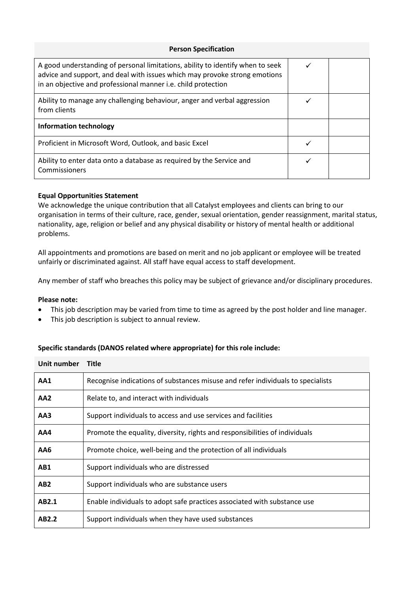| <b>Person Specification</b>                                                                                                                                                                                                   |  |  |
|-------------------------------------------------------------------------------------------------------------------------------------------------------------------------------------------------------------------------------|--|--|
| A good understanding of personal limitations, ability to identify when to seek<br>advice and support, and deal with issues which may provoke strong emotions<br>in an objective and professional manner i.e. child protection |  |  |
| Ability to manage any challenging behaviour, anger and verbal aggression<br>from clients                                                                                                                                      |  |  |
| Information technology                                                                                                                                                                                                        |  |  |
| Proficient in Microsoft Word, Outlook, and basic Excel                                                                                                                                                                        |  |  |
| Ability to enter data onto a database as required by the Service and<br>Commissioners                                                                                                                                         |  |  |

# **Equal Opportunities Statement**

We acknowledge the unique contribution that all Catalyst employees and clients can bring to our organisation in terms of their culture, race, gender, sexual orientation, gender reassignment, marital status, nationality, age, religion or belief and any physical disability or history of mental health or additional problems.

All appointments and promotions are based on merit and no job applicant or employee will be treated unfairly or discriminated against. All staff have equal access to staff development.

Any member of staff who breaches this policy may be subject of grievance and/or disciplinary procedures.

#### **Please note:**

- This job description may be varied from time to time as agreed by the post holder and line manager.
- This job description is subject to annual review.

### **Specific standards (DANOS related where appropriate) for this role include:**

| Unit number     | <b>Title</b>                                                                    |
|-----------------|---------------------------------------------------------------------------------|
| AA1             | Recognise indications of substances misuse and refer individuals to specialists |
| AA2             | Relate to, and interact with individuals                                        |
| AA3             | Support individuals to access and use services and facilities                   |
| AA4             | Promote the equality, diversity, rights and responsibilities of individuals     |
| AA6             | Promote choice, well-being and the protection of all individuals                |
| AB1             | Support individuals who are distressed                                          |
| AB <sub>2</sub> | Support individuals who are substance users                                     |
| AB2.1           | Enable individuals to adopt safe practices associated with substance use        |
| AB2.2           | Support individuals when they have used substances                              |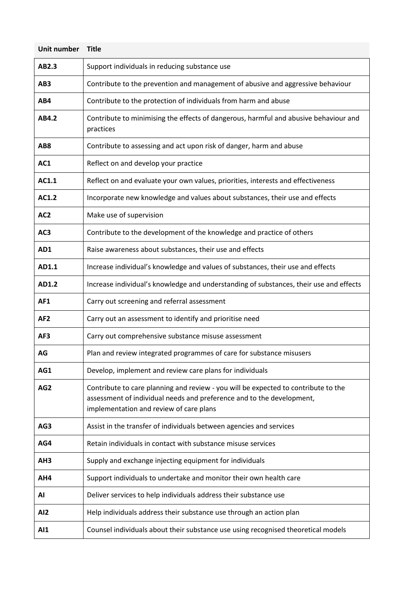| Unit number     | <b>Title</b>                                                                                                                                                                                           |
|-----------------|--------------------------------------------------------------------------------------------------------------------------------------------------------------------------------------------------------|
| AB2.3           | Support individuals in reducing substance use                                                                                                                                                          |
| AB <sub>3</sub> | Contribute to the prevention and management of abusive and aggressive behaviour                                                                                                                        |
| AB4             | Contribute to the protection of individuals from harm and abuse                                                                                                                                        |
| AB4.2           | Contribute to minimising the effects of dangerous, harmful and abusive behaviour and<br>practices                                                                                                      |
| AB <sub>8</sub> | Contribute to assessing and act upon risk of danger, harm and abuse                                                                                                                                    |
| AC1             | Reflect on and develop your practice                                                                                                                                                                   |
| AC1.1           | Reflect on and evaluate your own values, priorities, interests and effectiveness                                                                                                                       |
| AC1.2           | Incorporate new knowledge and values about substances, their use and effects                                                                                                                           |
| AC <sub>2</sub> | Make use of supervision                                                                                                                                                                                |
| AC <sub>3</sub> | Contribute to the development of the knowledge and practice of others                                                                                                                                  |
| AD1             | Raise awareness about substances, their use and effects                                                                                                                                                |
| AD1.1           | Increase individual's knowledge and values of substances, their use and effects                                                                                                                        |
| AD1.2           | Increase individual's knowledge and understanding of substances, their use and effects                                                                                                                 |
| AF1             | Carry out screening and referral assessment                                                                                                                                                            |
| AF <sub>2</sub> | Carry out an assessment to identify and prioritise need                                                                                                                                                |
| AF3             | Carry out comprehensive substance misuse assessment                                                                                                                                                    |
| AG              | Plan and review integrated programmes of care for substance misusers                                                                                                                                   |
| AG1             | Develop, implement and review care plans for individuals                                                                                                                                               |
| AG <sub>2</sub> | Contribute to care planning and review - you will be expected to contribute to the<br>assessment of individual needs and preference and to the development,<br>implementation and review of care plans |
| AG3             | Assist in the transfer of individuals between agencies and services                                                                                                                                    |
| AG4             | Retain individuals in contact with substance misuse services                                                                                                                                           |
| AH <sub>3</sub> | Supply and exchange injecting equipment for individuals                                                                                                                                                |
| AH4             | Support individuals to undertake and monitor their own health care                                                                                                                                     |
| AI              | Deliver services to help individuals address their substance use                                                                                                                                       |
| AI <sub>2</sub> | Help individuals address their substance use through an action plan                                                                                                                                    |
| AI1             | Counsel individuals about their substance use using recognised theoretical models                                                                                                                      |